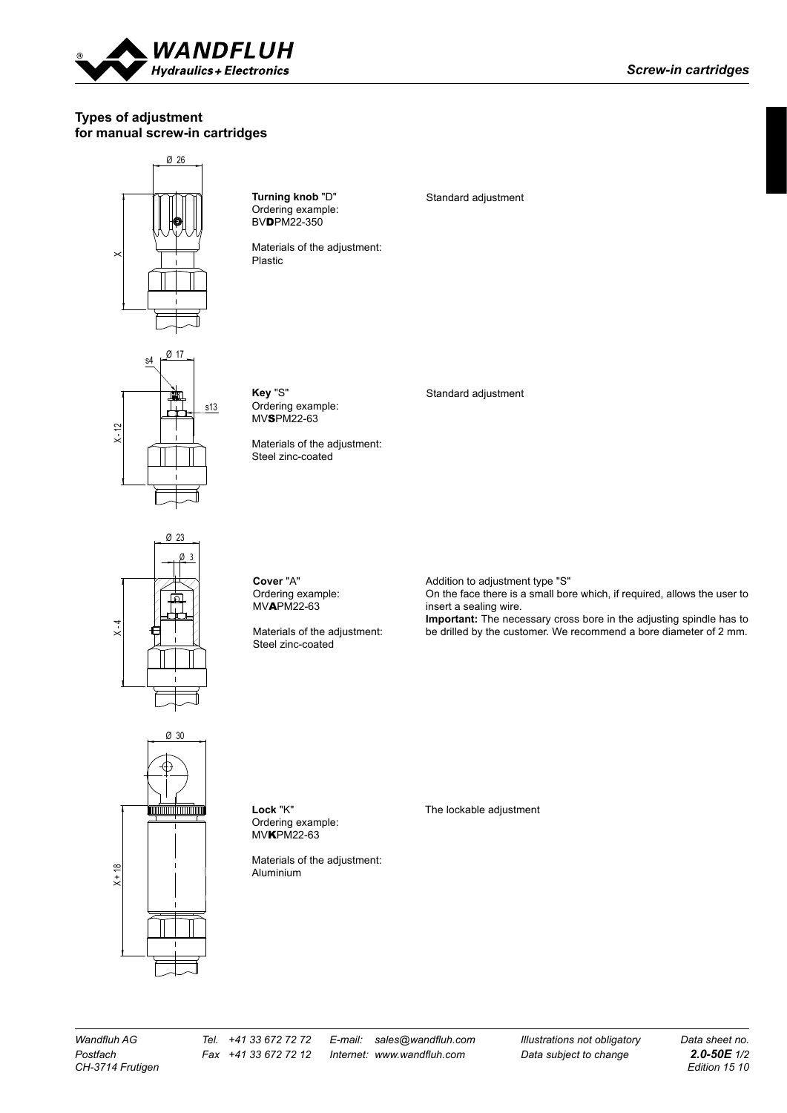

## **Types of adjustment for manual screw-in cartridges**



Ordering example: MVAPM22-63

Materials of the adjustment: Steel zinc-coated

Addition to adjustment type "S" On the face there is a small bore which, if required, allows the user to insert a sealing wire.

**Important:** The necessary cross bore in the adjusting spindle has to be drilled by the customer. We recommend a bore diameter of 2 mm.



X - 4

**Lock** "K" Ordering example: MVKPM22-63

Materials of the adjustment: Aluminium

The lockable adjustment

*CH-3714 Frutigen Edition 15 10*

*Wandfluh AG Tel. +41 33 672 72 72 E-mail: sales@wandfluh.com Illustrations not obligatory Data sheet no.*